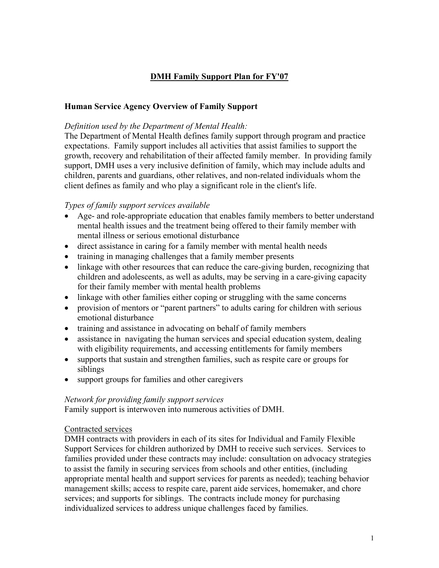# **DMH Family Support Plan for FY'07**

## **Human Service Agency Overview of Family Support**

### *Definition used by the Department of Mental Health:*

The Department of Mental Health defines family support through program and practice expectations. Family support includes all activities that assist families to support the growth, recovery and rehabilitation of their affected family member. In providing family support, DMH uses a very inclusive definition of family, which may include adults and children, parents and guardians, other relatives, and non-related individuals whom the client defines as family and who play a significant role in the client's life.

### *Types of family support services available*

- Age- and role-appropriate education that enables family members to better understand mental health issues and the treatment being offered to their family member with mental illness or serious emotional disturbance
- direct assistance in caring for a family member with mental health needs
- training in managing challenges that a family member presents
- linkage with other resources that can reduce the care-giving burden, recognizing that children and adolescents, as well as adults, may be serving in a care-giving capacity for their family member with mental health problems
- linkage with other families either coping or struggling with the same concerns
- provision of mentors or "parent partners" to adults caring for children with serious emotional disturbance
- training and assistance in advocating on behalf of family members
- assistance in navigating the human services and special education system, dealing with eligibility requirements, and accessing entitlements for family members
- supports that sustain and strengthen families, such as respite care or groups for siblings
- support groups for families and other caregivers

#### *Network for providing family support services*

Family support is interwoven into numerous activities of DMH.

#### Contracted services

DMH contracts with providers in each of its sites for Individual and Family Flexible Support Services for children authorized by DMH to receive such services. Services to families provided under these contracts may include: consultation on advocacy strategies to assist the family in securing services from schools and other entities, (including appropriate mental health and support services for parents as needed); teaching behavior management skills; access to respite care, parent aide services, homemaker, and chore services; and supports for siblings. The contracts include money for purchasing individualized services to address unique challenges faced by families.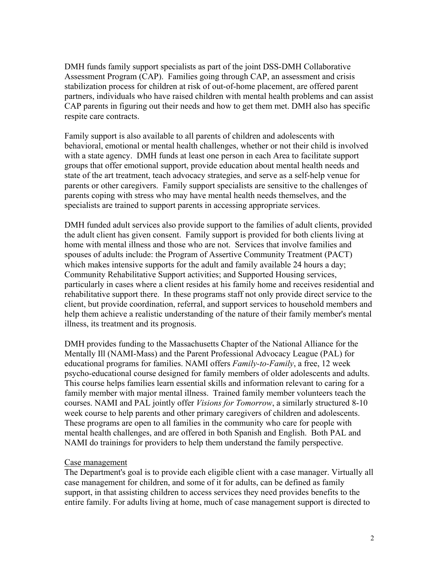DMH funds family support specialists as part of the joint DSS-DMH Collaborative Assessment Program (CAP). Families going through CAP, an assessment and crisis stabilization process for children at risk of out-of-home placement, are offered parent partners, individuals who have raised children with mental health problems and can assist CAP parents in figuring out their needs and how to get them met. DMH also has specific respite care contracts.

Family support is also available to all parents of children and adolescents with behavioral, emotional or mental health challenges, whether or not their child is involved with a state agency. DMH funds at least one person in each Area to facilitate support groups that offer emotional support, provide education about mental health needs and state of the art treatment, teach advocacy strategies, and serve as a self-help venue for parents or other caregivers. Family support specialists are sensitive to the challenges of parents coping with stress who may have mental health needs themselves, and the specialists are trained to support parents in accessing appropriate services.

DMH funded adult services also provide support to the families of adult clients, provided the adult client has given consent. Family support is provided for both clients living at home with mental illness and those who are not. Services that involve families and spouses of adults include: the Program of Assertive Community Treatment (PACT) which makes intensive supports for the adult and family available 24 hours a day; Community Rehabilitative Support activities; and Supported Housing services, particularly in cases where a client resides at his family home and receives residential and rehabilitative support there. In these programs staff not only provide direct service to the client, but provide coordination, referral, and support services to household members and help them achieve a realistic understanding of the nature of their family member's mental illness, its treatment and its prognosis.

DMH provides funding to the Massachusetts Chapter of the National Alliance for the Mentally Ill (NAMI-Mass) and the Parent Professional Advocacy League (PAL) for educational programs for families. NAMI offers *Family-to-Family*, a free, 12 week psycho-educational course designed for family members of older adolescents and adults. This course helps families learn essential skills and information relevant to caring for a family member with major mental illness. Trained family member volunteers teach the courses. NAMI and PAL jointly offer *Visions for Tomorrow*, a similarly structured 8-10 week course to help parents and other primary caregivers of children and adolescents. These programs are open to all families in the community who care for people with mental health challenges, and are offered in both Spanish and English. Both PAL and NAMI do trainings for providers to help them understand the family perspective.

#### Case management

The Department's goal is to provide each eligible client with a case manager. Virtually all case management for children, and some of it for adults, can be defined as family support, in that assisting children to access services they need provides benefits to the entire family. For adults living at home, much of case management support is directed to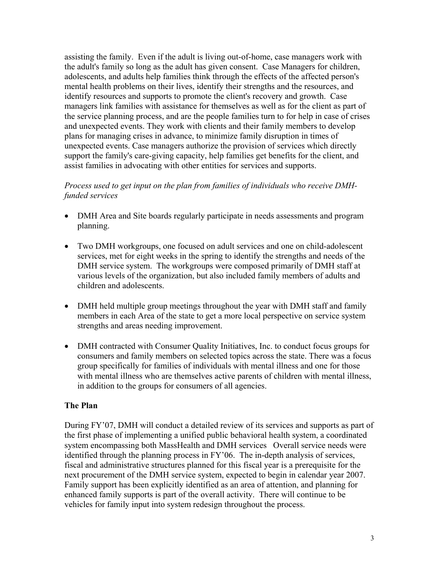assisting the family. Even if the adult is living out-of-home, case managers work with the adult's family so long as the adult has given consent. Case Managers for children, adolescents, and adults help families think through the effects of the affected person's mental health problems on their lives, identify their strengths and the resources, and identify resources and supports to promote the client's recovery and growth. Case managers link families with assistance for themselves as well as for the client as part of the service planning process, and are the people families turn to for help in case of crises and unexpected events. They work with clients and their family members to develop plans for managing crises in advance, to minimize family disruption in times of unexpected events. Case managers authorize the provision of services which directly support the family's care-giving capacity, help families get benefits for the client, and assist families in advocating with other entities for services and supports.

## *Process used to get input on the plan from families of individuals who receive DMHfunded services*

- DMH Area and Site boards regularly participate in needs assessments and program planning.
- Two DMH workgroups, one focused on adult services and one on child-adolescent services, met for eight weeks in the spring to identify the strengths and needs of the DMH service system. The workgroups were composed primarily of DMH staff at various levels of the organization, but also included family members of adults and children and adolescents.
- DMH held multiple group meetings throughout the year with DMH staff and family members in each Area of the state to get a more local perspective on service system strengths and areas needing improvement.
- DMH contracted with Consumer Quality Initiatives, Inc. to conduct focus groups for consumers and family members on selected topics across the state. There was a focus group specifically for families of individuals with mental illness and one for those with mental illness who are themselves active parents of children with mental illness, in addition to the groups for consumers of all agencies.

#### **The Plan**

During FY'07, DMH will conduct a detailed review of its services and supports as part of the first phase of implementing a unified public behavioral health system, a coordinated system encompassing both MassHealth and DMH services Overall service needs were identified through the planning process in FY'06. The in-depth analysis of services, fiscal and administrative structures planned for this fiscal year is a prerequisite for the next procurement of the DMH service system, expected to begin in calendar year 2007. Family support has been explicitly identified as an area of attention, and planning for enhanced family supports is part of the overall activity. There will continue to be vehicles for family input into system redesign throughout the process.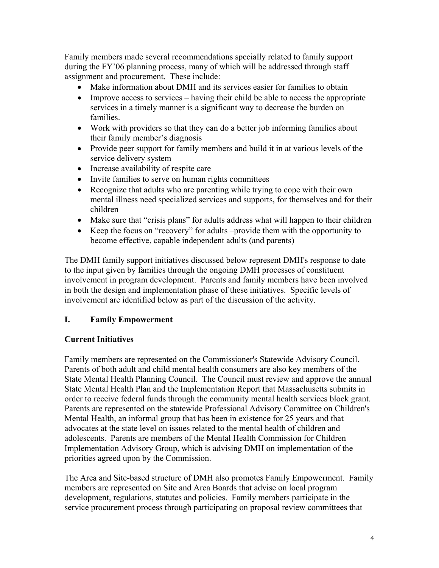Family members made several recommendations specially related to family support during the FY'06 planning process, many of which will be addressed through staff assignment and procurement. These include:

- Make information about DMH and its services easier for families to obtain
- Improve access to services having their child be able to access the appropriate services in a timely manner is a significant way to decrease the burden on families.
- Work with providers so that they can do a better job informing families about their family member's diagnosis
- Provide peer support for family members and build it in at various levels of the service delivery system
- Increase availability of respite care
- Invite families to serve on human rights committees
- Recognize that adults who are parenting while trying to cope with their own mental illness need specialized services and supports, for themselves and for their children
- Make sure that "crisis plans" for adults address what will happen to their children
- Keep the focus on "recovery" for adults –provide them with the opportunity to become effective, capable independent adults (and parents)

The DMH family support initiatives discussed below represent DMH's response to date to the input given by families through the ongoing DMH processes of constituent involvement in program development. Parents and family members have been involved in both the design and implementation phase of these initiatives. Specific levels of involvement are identified below as part of the discussion of the activity.

## **I. Family Empowerment**

## **Current Initiatives**

Family members are represented on the Commissioner's Statewide Advisory Council. Parents of both adult and child mental health consumers are also key members of the State Mental Health Planning Council. The Council must review and approve the annual State Mental Health Plan and the Implementation Report that Massachusetts submits in order to receive federal funds through the community mental health services block grant. Parents are represented on the statewide Professional Advisory Committee on Children's Mental Health, an informal group that has been in existence for 25 years and that advocates at the state level on issues related to the mental health of children and adolescents. Parents are members of the Mental Health Commission for Children Implementation Advisory Group, which is advising DMH on implementation of the priorities agreed upon by the Commission.

The Area and Site-based structure of DMH also promotes Family Empowerment. Family members are represented on Site and Area Boards that advise on local program development, regulations, statutes and policies. Family members participate in the service procurement process through participating on proposal review committees that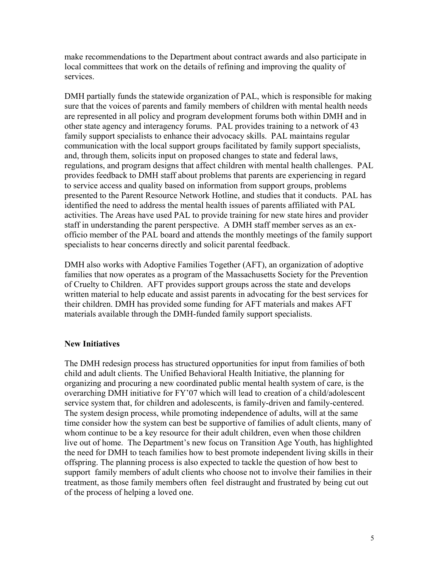make recommendations to the Department about contract awards and also participate in local committees that work on the details of refining and improving the quality of services.

DMH partially funds the statewide organization of PAL, which is responsible for making sure that the voices of parents and family members of children with mental health needs are represented in all policy and program development forums both within DMH and in other state agency and interagency forums. PAL provides training to a network of 43 family support specialists to enhance their advocacy skills. PAL maintains regular communication with the local support groups facilitated by family support specialists, and, through them, solicits input on proposed changes to state and federal laws, regulations, and program designs that affect children with mental health challenges. PAL provides feedback to DMH staff about problems that parents are experiencing in regard to service access and quality based on information from support groups, problems presented to the Parent Resource Network Hotline, and studies that it conducts. PAL has identified the need to address the mental health issues of parents affiliated with PAL activities. The Areas have used PAL to provide training for new state hires and provider staff in understanding the parent perspective. A DMH staff member serves as an exofficio member of the PAL board and attends the monthly meetings of the family support specialists to hear concerns directly and solicit parental feedback.

DMH also works with Adoptive Families Together (AFT), an organization of adoptive families that now operates as a program of the Massachusetts Society for the Prevention of Cruelty to Children. AFT provides support groups across the state and develops written material to help educate and assist parents in advocating for the best services for their children. DMH has provided some funding for AFT materials and makes AFT materials available through the DMH-funded family support specialists.

## **New Initiatives**

The DMH redesign process has structured opportunities for input from families of both child and adult clients. The Unified Behavioral Health Initiative, the planning for organizing and procuring a new coordinated public mental health system of care, is the overarching DMH initiative for FY'07 which will lead to creation of a child/adolescent service system that, for children and adolescents, is family-driven and family-centered. The system design process, while promoting independence of adults, will at the same time consider how the system can best be supportive of families of adult clients, many of whom continue to be a key resource for their adult children, even when those children live out of home. The Department's new focus on Transition Age Youth, has highlighted the need for DMH to teach families how to best promote independent living skills in their offspring. The planning process is also expected to tackle the question of how best to support family members of adult clients who choose not to involve their families in their treatment, as those family members often feel distraught and frustrated by being cut out of the process of helping a loved one.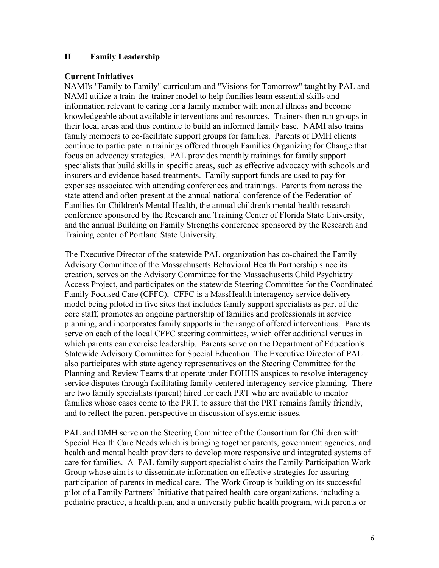### **II Family Leadership**

### **Current Initiatives**

NAMI's "Family to Family" curriculum and "Visions for Tomorrow" taught by PAL and NAMI utilize a train-the-trainer model to help families learn essential skills and information relevant to caring for a family member with mental illness and become knowledgeable about available interventions and resources. Trainers then run groups in their local areas and thus continue to build an informed family base. NAMI also trains family members to co-facilitate support groups for families. Parents of DMH clients continue to participate in trainings offered through Families Organizing for Change that focus on advocacy strategies. PAL provides monthly trainings for family support specialists that build skills in specific areas, such as effective advocacy with schools and insurers and evidence based treatments. Family support funds are used to pay for expenses associated with attending conferences and trainings. Parents from across the state attend and often present at the annual national conference of the Federation of Families for Children's Mental Health, the annual children's mental health research conference sponsored by the Research and Training Center of Florida State University, and the annual Building on Family Strengths conference sponsored by the Research and Training center of Portland State University.

The Executive Director of the statewide PAL organization has co-chaired the Family Advisory Committee of the Massachusetts Behavioral Health Partnership since its creation, serves on the Advisory Committee for the Massachusetts Child Psychiatry Access Project, and participates on the statewide Steering Committee for the Coordinated Family Focused Care (CFFC)**.** CFFC is a MassHealth interagency service delivery model being piloted in five sites that includes family support specialists as part of the core staff, promotes an ongoing partnership of families and professionals in service planning, and incorporates family supports in the range of offered interventions. Parents serve on each of the local CFFC steering committees, which offer additional venues in which parents can exercise leadership. Parents serve on the Department of Education's Statewide Advisory Committee for Special Education. The Executive Director of PAL also participates with state agency representatives on the Steering Committee for the Planning and Review Teams that operate under EOHHS auspices to resolve interagency service disputes through facilitating family-centered interagency service planning. There are two family specialists (parent) hired for each PRT who are available to mentor families whose cases come to the PRT, to assure that the PRT remains family friendly, and to reflect the parent perspective in discussion of systemic issues.

PAL and DMH serve on the Steering Committee of the Consortium for Children with Special Health Care Needs which is bringing together parents, government agencies, and health and mental health providers to develop more responsive and integrated systems of care for families. A PAL family support specialist chairs the Family Participation Work Group whose aim is to disseminate information on effective strategies for assuring participation of parents in medical care. The Work Group is building on its successful pilot of a Family Partners' Initiative that paired health-care organizations, including a pediatric practice, a health plan, and a university public health program, with parents or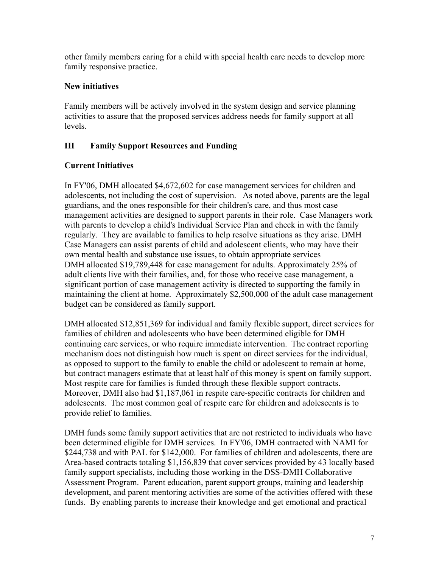other family members caring for a child with special health care needs to develop more family responsive practice.

## **New initiatives**

Family members will be actively involved in the system design and service planning activities to assure that the proposed services address needs for family support at all levels.

## **III Family Support Resources and Funding**

## **Current Initiatives**

In FY'06, DMH allocated \$4,672,602 for case management services for children and adolescents, not including the cost of supervision. As noted above, parents are the legal guardians, and the ones responsible for their children's care, and thus most case management activities are designed to support parents in their role. Case Managers work with parents to develop a child's Individual Service Plan and check in with the family regularly. They are available to families to help resolve situations as they arise. DMH Case Managers can assist parents of child and adolescent clients, who may have their own mental health and substance use issues, to obtain appropriate services DMH allocated \$19,789,448 for case management for adults. Approximately 25% of adult clients live with their families, and, for those who receive case management, a significant portion of case management activity is directed to supporting the family in maintaining the client at home. Approximately \$2,500,000 of the adult case management budget can be considered as family support.

DMH allocated \$12,851,369 for individual and family flexible support, direct services for families of children and adolescents who have been determined eligible for DMH continuing care services, or who require immediate intervention. The contract reporting mechanism does not distinguish how much is spent on direct services for the individual, as opposed to support to the family to enable the child or adolescent to remain at home, but contract managers estimate that at least half of this money is spent on family support. Most respite care for families is funded through these flexible support contracts. Moreover, DMH also had \$1,187,061 in respite care-specific contracts for children and adolescents. The most common goal of respite care for children and adolescents is to provide relief to families.

DMH funds some family support activities that are not restricted to individuals who have been determined eligible for DMH services. In FY'06, DMH contracted with NAMI for \$244,738 and with PAL for \$142,000. For families of children and adolescents, there are Area-based contracts totaling \$1,156,839 that cover services provided by 43 locally based family support specialists, including those working in the DSS-DMH Collaborative Assessment Program. Parent education, parent support groups, training and leadership development, and parent mentoring activities are some of the activities offered with these funds. By enabling parents to increase their knowledge and get emotional and practical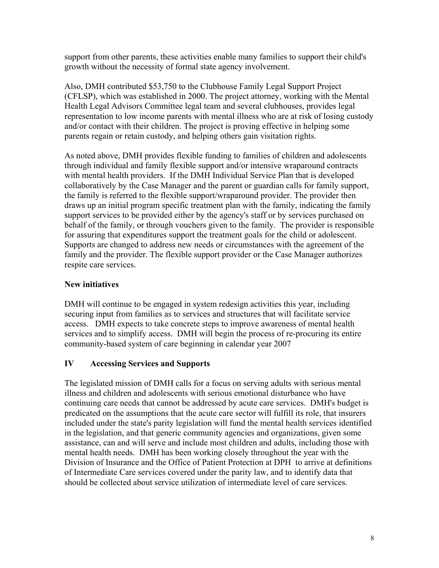support from other parents, these activities enable many families to support their child's growth without the necessity of formal state agency involvement.

Also, DMH contributed \$53,750 to the Clubhouse Family Legal Support Project (CFLSP), which was established in 2000. The project attorney, working with the Mental Health Legal Advisors Committee legal team and several clubhouses, provides legal representation to low income parents with mental illness who are at risk of losing custody and/or contact with their children. The project is proving effective in helping some parents regain or retain custody, and helping others gain visitation rights.

As noted above, DMH provides flexible funding to families of children and adolescents through individual and family flexible support and/or intensive wraparound contracts with mental health providers. If the DMH Individual Service Plan that is developed collaboratively by the Case Manager and the parent or guardian calls for family support, the family is referred to the flexible support/wraparound provider. The provider then draws up an initial program specific treatment plan with the family, indicating the family support services to be provided either by the agency's staff or by services purchased on behalf of the family, or through vouchers given to the family. The provider is responsible for assuring that expenditures support the treatment goals for the child or adolescent. Supports are changed to address new needs or circumstances with the agreement of the family and the provider. The flexible support provider or the Case Manager authorizes respite care services.

## **New initiatives**

DMH will continue to be engaged in system redesign activities this year, including securing input from families as to services and structures that will facilitate service access. DMH expects to take concrete steps to improve awareness of mental health services and to simplify access. DMH will begin the process of re-procuring its entire community-based system of care beginning in calendar year 2007

## **IV Accessing Services and Supports**

The legislated mission of DMH calls for a focus on serving adults with serious mental illness and children and adolescents with serious emotional disturbance who have continuing care needs that cannot be addressed by acute care services. DMH's budget is predicated on the assumptions that the acute care sector will fulfill its role, that insurers included under the state's parity legislation will fund the mental health services identified in the legislation, and that generic community agencies and organizations, given some assistance, can and will serve and include most children and adults, including those with mental health needs. DMH has been working closely throughout the year with the Division of Insurance and the Office of Patient Protection at DPH to arrive at definitions of Intermediate Care services covered under the parity law, and to identify data that should be collected about service utilization of intermediate level of care services.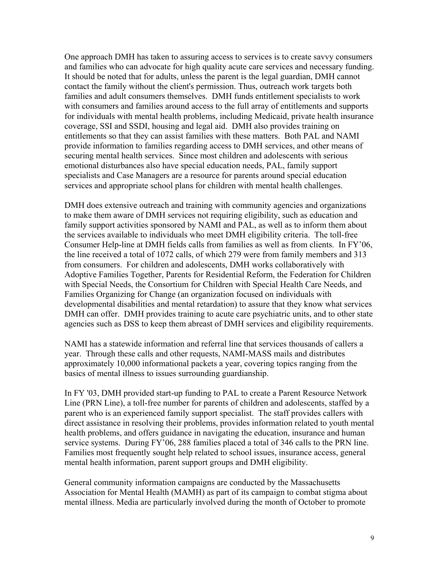One approach DMH has taken to assuring access to services is to create savvy consumers and families who can advocate for high quality acute care services and necessary funding. It should be noted that for adults, unless the parent is the legal guardian, DMH cannot contact the family without the client's permission. Thus, outreach work targets both families and adult consumers themselves. DMH funds entitlement specialists to work with consumers and families around access to the full array of entitlements and supports for individuals with mental health problems, including Medicaid, private health insurance coverage, SSI and SSDI, housing and legal aid. DMH also provides training on entitlements so that they can assist families with these matters. Both PAL and NAMI provide information to families regarding access to DMH services, and other means of securing mental health services. Since most children and adolescents with serious emotional disturbances also have special education needs, PAL, family support specialists and Case Managers are a resource for parents around special education services and appropriate school plans for children with mental health challenges.

DMH does extensive outreach and training with community agencies and organizations to make them aware of DMH services not requiring eligibility, such as education and family support activities sponsored by NAMI and PAL, as well as to inform them about the services available to individuals who meet DMH eligibility criteria. The toll-free Consumer Help-line at DMH fields calls from families as well as from clients. In FY'06, the line received a total of 1072 calls, of which 279 were from family members and 313 from consumers. For children and adolescents, DMH works collaboratively with Adoptive Families Together, Parents for Residential Reform, the Federation for Children with Special Needs, the Consortium for Children with Special Health Care Needs, and Families Organizing for Change (an organization focused on individuals with developmental disabilities and mental retardation) to assure that they know what services DMH can offer. DMH provides training to acute care psychiatric units, and to other state agencies such as DSS to keep them abreast of DMH services and eligibility requirements.

NAMI has a statewide information and referral line that services thousands of callers a year. Through these calls and other requests, NAMI-MASS mails and distributes approximately 10,000 informational packets a year, covering topics ranging from the basics of mental illness to issues surrounding guardianship.

In FY '03, DMH provided start-up funding to PAL to create a Parent Resource Network Line (PRN Line), a toll-free number for parents of children and adolescents, staffed by a parent who is an experienced family support specialist. The staff provides callers with direct assistance in resolving their problems, provides information related to youth mental health problems, and offers guidance in navigating the education, insurance and human service systems. During FY'06, 288 families placed a total of 346 calls to the PRN line. Families most frequently sought help related to school issues, insurance access, general mental health information, parent support groups and DMH eligibility.

General community information campaigns are conducted by the Massachusetts Association for Mental Health (MAMH) as part of its campaign to combat stigma about mental illness. Media are particularly involved during the month of October to promote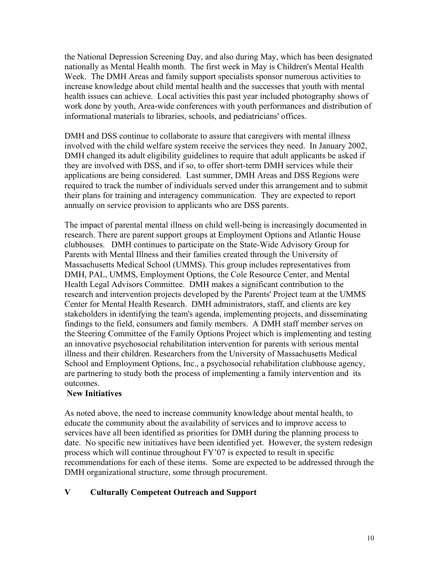the National Depression Screening Day, and also during May, which has been designated nationally as Mental Health month. The first week in May is Children's Mental Health Week. The DMH Areas and family support specialists sponsor numerous activities to increase knowledge about child mental health and the successes that youth with mental health issues can achieve. Local activities this past year included photography shows of work done by youth, Area-wide conferences with youth performances and distribution of informational materials to libraries, schools, and pediatricians' offices.

DMH and DSS continue to collaborate to assure that caregivers with mental illness involved with the child welfare system receive the services they need. In January 2002, DMH changed its adult eligibility guidelines to require that adult applicants be asked if they are involved with DSS, and if so, to offer short-term DMH services while their applications are being considered. Last summer, DMH Areas and DSS Regions were required to track the number of individuals served under this arrangement and to submit their plans for training and interagency communication. They are expected to report annually on service provision to applicants who are DSS parents.

The impact of parental mental illness on child well-being is increasingly documented in research. There are parent support groups at Employment Options and Atlantic House clubhouses. DMH continues to participate on the State-Wide Advisory Group for Parents with Mental Illness and their families created through the University of Massachusetts Medical School (UMMS). This group includes representatives from DMH, PAL, UMMS, Employment Options, the Cole Resource Center, and Mental Health Legal Advisors Committee. DMH makes a significant contribution to the research and intervention projects developed by the Parents' Project team at the UMMS Center for Mental Health Research. DMH administrators, staff, and clients are key stakeholders in identifying the team's agenda, implementing projects, and disseminating findings to the field, consumers and family members. A DMH staff member serves on the Steering Committee of the Family Options Project which is implementing and testing an innovative psychosocial rehabilitation intervention for parents with serious mental illness and their children. Researchers from the University of Massachusetts Medical School and Employment Options, Inc., a psychosocial rehabilitation clubhouse agency, are partnering to study both the process of implementing a family intervention and its outcomes.

## **New Initiatives**

As noted above, the need to increase community knowledge about mental health, to educate the community about the availability of services and to improve access to services have all been identified as priorities for DMH during the planning process to date. No specific new initiatives have been identified yet. However, the system redesign process which will continue throughout FY'07 is expected to result in specific recommendations for each of these items. Some are expected to be addressed through the DMH organizational structure, some through procurement.

## **V Culturally Competent Outreach and Support**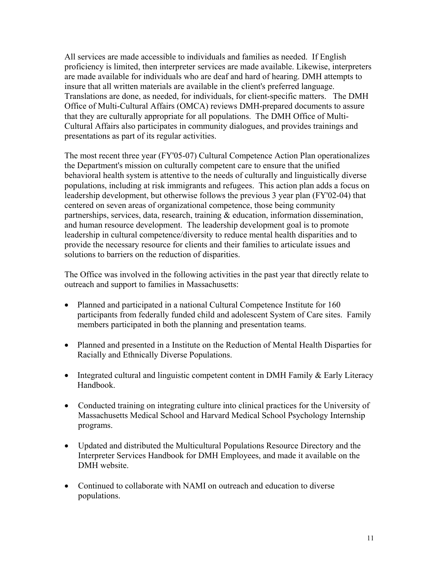All services are made accessible to individuals and families as needed. If English proficiency is limited, then interpreter services are made available. Likewise, interpreters are made available for individuals who are deaf and hard of hearing. DMH attempts to insure that all written materials are available in the client's preferred language. Translations are done, as needed, for individuals, for client-specific matters. The DMH Office of Multi-Cultural Affairs (OMCA) reviews DMH-prepared documents to assure that they are culturally appropriate for all populations. The DMH Office of Multi-Cultural Affairs also participates in community dialogues, and provides trainings and presentations as part of its regular activities.

The most recent three year (FY'05-07) Cultural Competence Action Plan operationalizes the Department's mission on culturally competent care to ensure that the unified behavioral health system is attentive to the needs of culturally and linguistically diverse populations, including at risk immigrants and refugees. This action plan adds a focus on leadership development, but otherwise follows the previous 3 year plan (FY'02-04) that centered on seven areas of organizational competence, those being community partnerships, services, data, research, training & education, information dissemination, and human resource development. The leadership development goal is to promote leadership in cultural competence/diversity to reduce mental health disparities and to provide the necessary resource for clients and their families to articulate issues and solutions to barriers on the reduction of disparities.

The Office was involved in the following activities in the past year that directly relate to outreach and support to families in Massachusetts:

- Planned and participated in a national Cultural Competence Institute for 160 participants from federally funded child and adolescent System of Care sites. Family members participated in both the planning and presentation teams.
- Planned and presented in a Institute on the Reduction of Mental Health Disparties for Racially and Ethnically Diverse Populations.
- Integrated cultural and linguistic competent content in DMH Family & Early Literacy Handbook.
- Conducted training on integrating culture into clinical practices for the University of Massachusetts Medical School and Harvard Medical School Psychology Internship programs.
- Updated and distributed the Multicultural Populations Resource Directory and the Interpreter Services Handbook for DMH Employees, and made it available on the DMH website.
- Continued to collaborate with NAMI on outreach and education to diverse populations.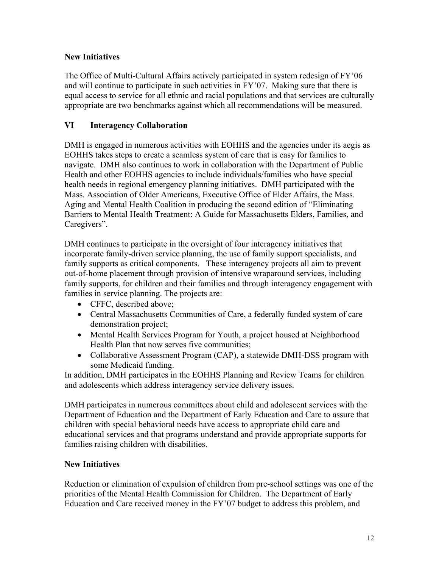## **New Initiatives**

The Office of Multi-Cultural Affairs actively participated in system redesign of FY'06 and will continue to participate in such activities in FY'07. Making sure that there is equal access to service for all ethnic and racial populations and that services are culturally appropriate are two benchmarks against which all recommendations will be measured.

## **VI Interagency Collaboration**

DMH is engaged in numerous activities with EOHHS and the agencies under its aegis as EOHHS takes steps to create a seamless system of care that is easy for families to navigate. DMH also continues to work in collaboration with the Department of Public Health and other EOHHS agencies to include individuals/families who have special health needs in regional emergency planning initiatives. DMH participated with the Mass. Association of Older Americans, Executive Office of Elder Affairs, the Mass. Aging and Mental Health Coalition in producing the second edition of "Eliminating Barriers to Mental Health Treatment: A Guide for Massachusetts Elders, Families, and Caregivers".

DMH continues to participate in the oversight of four interagency initiatives that incorporate family-driven service planning, the use of family support specialists, and family supports as critical components. These interagency projects all aim to prevent out-of-home placement through provision of intensive wraparound services, including family supports, for children and their families and through interagency engagement with families in service planning. The projects are:

- CFFC, described above;
- Central Massachusetts Communities of Care, a federally funded system of care demonstration project;
- Mental Health Services Program for Youth, a project housed at Neighborhood Health Plan that now serves five communities;
- Collaborative Assessment Program (CAP), a statewide DMH-DSS program with some Medicaid funding.

In addition, DMH participates in the EOHHS Planning and Review Teams for children and adolescents which address interagency service delivery issues.

DMH participates in numerous committees about child and adolescent services with the Department of Education and the Department of Early Education and Care to assure that children with special behavioral needs have access to appropriate child care and educational services and that programs understand and provide appropriate supports for families raising children with disabilities.

## **New Initiatives**

Reduction or elimination of expulsion of children from pre-school settings was one of the priorities of the Mental Health Commission for Children. The Department of Early Education and Care received money in the FY'07 budget to address this problem, and